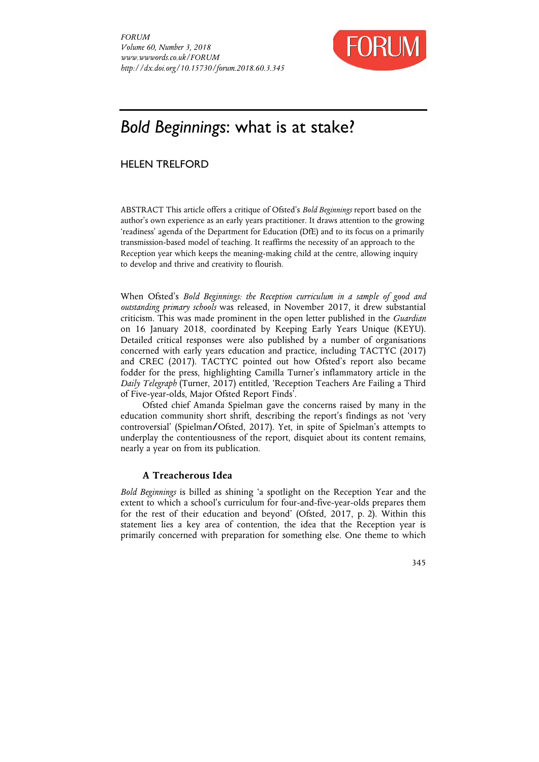

# *Bold Beginnings*: what is at stake?

# HELEN TRELFORD

ABSTRACT This article offers a critique of Ofsted's *Bold Beginnings* report based on the author's own experience as an early years practitioner. It draws attention to the growing 'readiness' agenda of the Department for Education (DfE) and to its focus on a primarily transmission-based model of teaching. It reaffirms the necessity of an approach to the Reception year which keeps the meaning-making child at the centre, allowing inquiry to develop and thrive and creativity to flourish.

When Ofsted's *Bold Beginnings: the Reception curriculum in a sample of good and outstanding primary schools* was released, in November 2017, it drew substantial criticism. This was made prominent in the open letter published in the *Guardian* on 16 January 2018, coordinated by Keeping Early Years Unique (KEYU). Detailed critical responses were also published by a number of organisations concerned with early years education and practice, including TACTYC (2017) and CREC (2017). TACTYC pointed out how Ofsted's report also became fodder for the press, highlighting Camilla Turner's inflammatory article in the *Daily Telegraph* (Turner, 2017) entitled, 'Reception Teachers Are Failing a Third of Five-year-olds, Major Ofsted Report Finds'.

Ofsted chief Amanda Spielman gave the concerns raised by many in the education community short shrift, describing the report's findings as not 'very controversial' (Spielman**/**Ofsted, 2017). Yet, in spite of Spielman's attempts to underplay the contentiousness of the report, disquiet about its content remains, nearly a year on from its publication.

# **A Treacherous Idea**

*Bold Beginnings* is billed as shining 'a spotlight on the Reception Year and the extent to which a school's curriculum for four-and-five-year-olds prepares them for the rest of their education and beyond' (Ofsted, 2017, p. 2). Within this statement lies a key area of contention, the idea that the Reception year is primarily concerned with preparation for something else. One theme to which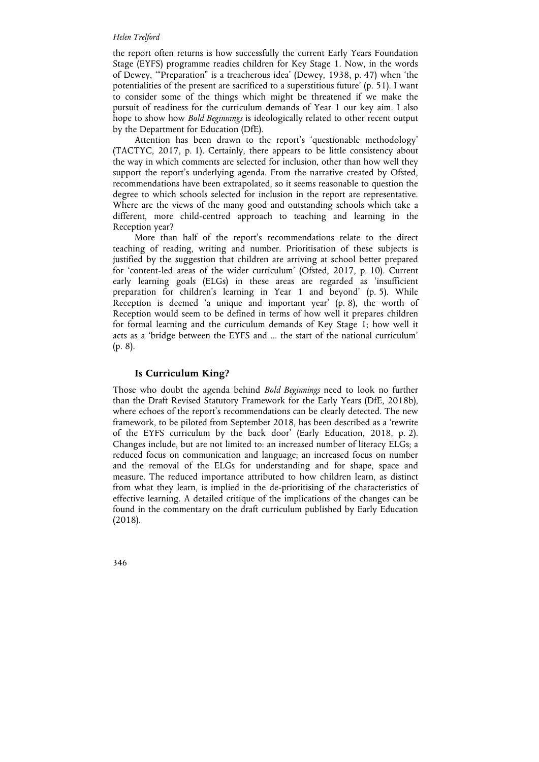#### *Helen Trelford*

the report often returns is how successfully the current Early Years Foundation Stage (EYFS) programme readies children for Key Stage 1. Now, in the words of Dewey, '"Preparation" is a treacherous idea' (Dewey, 1938, p. 47) when 'the potentialities of the present are sacrificed to a superstitious future' (p. 51). I want to consider some of the things which might be threatened if we make the pursuit of readiness for the curriculum demands of Year 1 our key aim. I also hope to show how *Bold Beginnings* is ideologically related to other recent output by the Department for Education (DfE).

Attention has been drawn to the report's 'questionable methodology' (TACTYC, 2017, p. 1). Certainly, there appears to be little consistency about the way in which comments are selected for inclusion, other than how well they support the report's underlying agenda. From the narrative created by Ofsted, recommendations have been extrapolated, so it seems reasonable to question the degree to which schools selected for inclusion in the report are representative. Where are the views of the many good and outstanding schools which take a different, more child-centred approach to teaching and learning in the Reception year?

More than half of the report's recommendations relate to the direct teaching of reading, writing and number. Prioritisation of these subjects is justified by the suggestion that children are arriving at school better prepared for 'content-led areas of the wider curriculum' (Ofsted, 2017, p. 10). Current early learning goals (ELGs) in these areas are regarded as 'insufficient preparation for children's learning in Year 1 and beyond' (p. 5). While Reception is deemed 'a unique and important year' (p. 8), the worth of Reception would seem to be defined in terms of how well it prepares children for formal learning and the curriculum demands of Key Stage 1; how well it acts as a 'bridge between the EYFS and ... the start of the national curriculum' (p. 8).

### **Is Curriculum King?**

Those who doubt the agenda behind *Bold Beginnings* need to look no further than the Draft Revised Statutory Framework for the Early Years (DfE, 2018b), where echoes of the report's recommendations can be clearly detected. The new framework, to be piloted from September 2018, has been described as a 'rewrite of the EYFS curriculum by the back door' (Early Education, 2018, p. 2). Changes include, but are not limited to: an increased number of literacy ELGs; a reduced focus on communication and language; an increased focus on number and the removal of the ELGs for understanding and for shape, space and measure. The reduced importance attributed to how children learn, as distinct from what they learn, is implied in the de-prioritising of the characteristics of effective learning. A detailed critique of the implications of the changes can be found in the commentary on the draft curriculum published by Early Education (2018).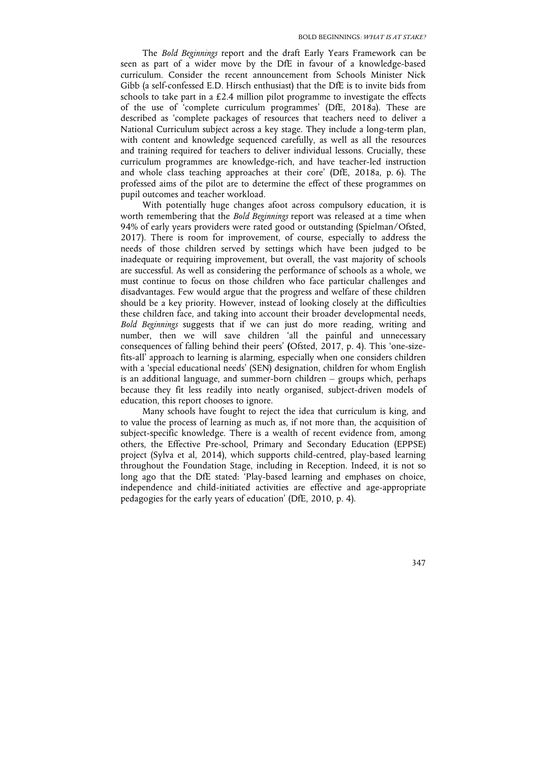The *Bold Beginnings* report and the draft Early Years Framework can be seen as part of a wider move by the DfE in favour of a knowledge-based curriculum. Consider the recent announcement from Schools Minister Nick Gibb (a self-confessed E.D. Hirsch enthusiast) that the DfE is to invite bids from schools to take part in a  $£2.4$  million pilot programme to investigate the effects of the use of 'complete curriculum programmes' (DfE, 2018a). These are described as 'complete packages of resources that teachers need to deliver a National Curriculum subject across a key stage. They include a long-term plan, with content and knowledge sequenced carefully, as well as all the resources and training required for teachers to deliver individual lessons. Crucially, these curriculum programmes are knowledge-rich, and have teacher-led instruction and whole class teaching approaches at their core' (DfE, 2018a, p. 6). The professed aims of the pilot are to determine the effect of these programmes on pupil outcomes and teacher workload.

With potentially huge changes afoot across compulsory education, it is worth remembering that the *Bold Beginnings* report was released at a time when 94% of early years providers were rated good or outstanding (Spielman/Ofsted, 2017). There is room for improvement, of course, especially to address the needs of those children served by settings which have been judged to be inadequate or requiring improvement, but overall, the vast majority of schools are successful. As well as considering the performance of schools as a whole, we must continue to focus on those children who face particular challenges and disadvantages. Few would argue that the progress and welfare of these children should be a key priority. However, instead of looking closely at the difficulties these children face, and taking into account their broader developmental needs, *Bold Beginnings* suggests that if we can just do more reading, writing and number, then we will save children 'all the painful and unnecessary consequences of falling behind their peers' **(**Ofsted, 2017, p. 4). This 'one-sizefits-all' approach to learning is alarming, especially when one considers children with a 'special educational needs' (SEN) designation, children for whom English is an additional language, and summer-born children – groups which, perhaps because they fit less readily into neatly organised, subject-driven models of education, this report chooses to ignore.

Many schools have fought to reject the idea that curriculum is king, and to value the process of learning as much as, if not more than, the acquisition of subject-specific knowledge. There is a wealth of recent evidence from, among others, the Effective Pre-school, Primary and Secondary Education (EPPSE) project (Sylva et al, 2014), which supports child-centred, play-based learning throughout the Foundation Stage, including in Reception. Indeed, it is not so long ago that the DfE stated: 'Play-based learning and emphases on choice, independence and child-initiated activities are effective and age-appropriate pedagogies for the early years of education' (DfE, 2010, p. 4).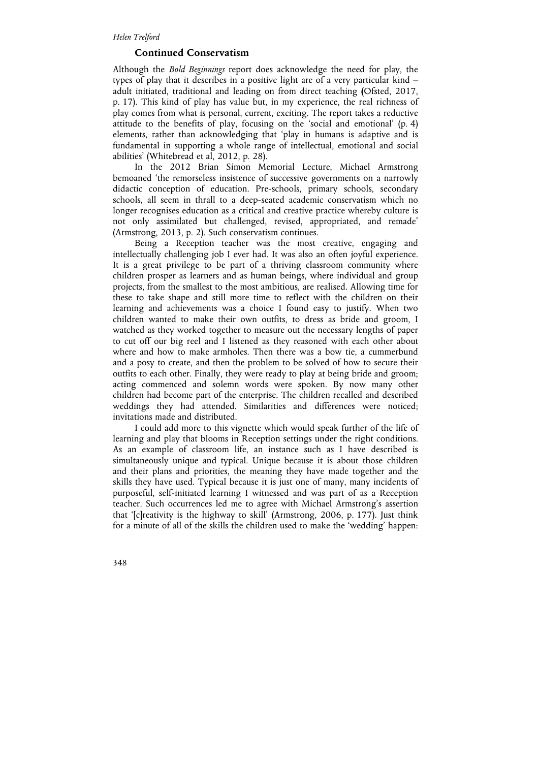## **Continued Conservatism**

Although the *Bold Beginnings* report does acknowledge the need for play, the types of play that it describes in a positive light are of a very particular kind – adult initiated, traditional and leading on from direct teaching **(**Ofsted, 2017, p. 17). This kind of play has value but, in my experience, the real richness of play comes from what is personal, current, exciting. The report takes a reductive attitude to the benefits of play, focusing on the 'social and emotional' (p. 4) elements, rather than acknowledging that 'play in humans is adaptive and is fundamental in supporting a whole range of intellectual, emotional and social abilities' (Whitebread et al, 2012, p. 28).

In the 2012 Brian Simon Memorial Lecture, Michael Armstrong bemoaned 'the remorseless insistence of successive governments on a narrowly didactic conception of education. Pre-schools, primary schools, secondary schools, all seem in thrall to a deep-seated academic conservatism which no longer recognises education as a critical and creative practice whereby culture is not only assimilated but challenged, revised, appropriated, and remade' (Armstrong, 2013, p. 2). Such conservatism continues.

Being a Reception teacher was the most creative, engaging and intellectually challenging job I ever had. It was also an often joyful experience. It is a great privilege to be part of a thriving classroom community where children prosper as learners and as human beings, where individual and group projects, from the smallest to the most ambitious, are realised. Allowing time for these to take shape and still more time to reflect with the children on their learning and achievements was a choice I found easy to justify. When two children wanted to make their own outfits, to dress as bride and groom, I watched as they worked together to measure out the necessary lengths of paper to cut off our big reel and I listened as they reasoned with each other about where and how to make armholes. Then there was a bow tie, a cummerbund and a posy to create, and then the problem to be solved of how to secure their outfits to each other. Finally, they were ready to play at being bride and groom; acting commenced and solemn words were spoken. By now many other children had become part of the enterprise. The children recalled and described weddings they had attended. Similarities and differences were noticed; invitations made and distributed.

I could add more to this vignette which would speak further of the life of learning and play that blooms in Reception settings under the right conditions. As an example of classroom life, an instance such as I have described is simultaneously unique and typical. Unique because it is about those children and their plans and priorities, the meaning they have made together and the skills they have used. Typical because it is just one of many, many incidents of purposeful, self-initiated learning I witnessed and was part of as a Reception teacher. Such occurrences led me to agree with Michael Armstrong's assertion that '[c]reativity is the highway to skill' (Armstrong, 2006, p. 177). Just think for a minute of all of the skills the children used to make the 'wedding' happen: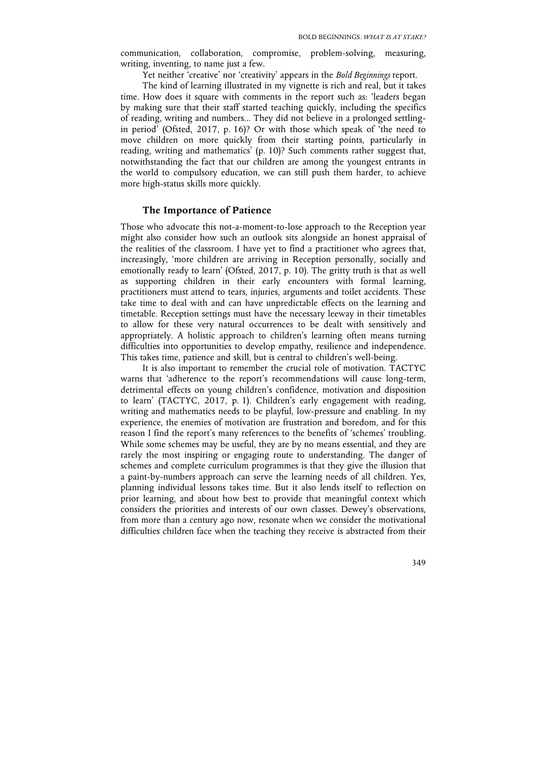communication, collaboration, compromise, problem-solving, measuring, writing, inventing, to name just a few.

Yet neither 'creative' nor 'creativity' appears in the *Bold Beginnings* report.

The kind of learning illustrated in my vignette is rich and real, but it takes time. How does it square with comments in the report such as: 'leaders began by making sure that their staff started teaching quickly, including the specifics of reading, writing and numbers... They did not believe in a prolonged settlingin period' (Ofsted, 2017, p. 16)? Or with those which speak of 'the need to move children on more quickly from their starting points, particularly in reading, writing and mathematics' (p. 10)? Such comments rather suggest that, notwithstanding the fact that our children are among the youngest entrants in the world to compulsory education, we can still push them harder, to achieve more high-status skills more quickly.

#### **The Importance of Patience**

Those who advocate this not-a-moment-to-lose approach to the Reception year might also consider how such an outlook sits alongside an honest appraisal of the realities of the classroom. I have yet to find a practitioner who agrees that, increasingly, 'more children are arriving in Reception personally, socially and emotionally ready to learn' (Ofsted, 2017, p. 10). The gritty truth is that as well as supporting children in their early encounters with formal learning, practitioners must attend to tears, injuries, arguments and toilet accidents. These take time to deal with and can have unpredictable effects on the learning and timetable. Reception settings must have the necessary leeway in their timetables to allow for these very natural occurrences to be dealt with sensitively and appropriately. A holistic approach to children's learning often means turning difficulties into opportunities to develop empathy, resilience and independence. This takes time, patience and skill, but is central to children's well-being.

It is also important to remember the crucial role of motivation. TACTYC warns that 'adherence to the report's recommendations will cause long-term, detrimental effects on young children's confidence, motivation and disposition to learn' (TACTYC, 2017, p. 1). Children's early engagement with reading, writing and mathematics needs to be playful, low-pressure and enabling. In my experience, the enemies of motivation are frustration and boredom, and for this reason I find the report's many references to the benefits of 'schemes' troubling. While some schemes may be useful, they are by no means essential, and they are rarely the most inspiring or engaging route to understanding. The danger of schemes and complete curriculum programmes is that they give the illusion that a paint-by-numbers approach can serve the learning needs of all children. Yes, planning individual lessons takes time. But it also lends itself to reflection on prior learning, and about how best to provide that meaningful context which considers the priorities and interests of our own classes. Dewey's observations, from more than a century ago now, resonate when we consider the motivational difficulties children face when the teaching they receive is abstracted from their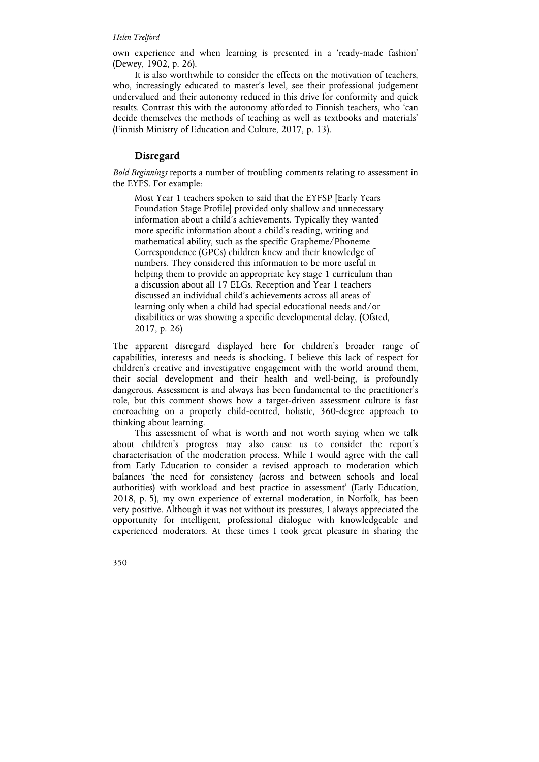#### *Helen Trelford*

own experience and when learning is presented in a 'ready-made fashion' (Dewey, 1902, p. 26).

It is also worthwhile to consider the effects on the motivation of teachers, who, increasingly educated to master's level, see their professional judgement undervalued and their autonomy reduced in this drive for conformity and quick results. Contrast this with the autonomy afforded to Finnish teachers, who 'can decide themselves the methods of teaching as well as textbooks and materials' (Finnish Ministry of Education and Culture, 2017, p. 13).

#### **Disregard**

*Bold Beginnings* reports a number of troubling comments relating to assessment in the EYFS. For example:

Most Year 1 teachers spoken to said that the EYFSP [Early Years Foundation Stage Profile] provided only shallow and unnecessary information about a child's achievements. Typically they wanted more specific information about a child's reading, writing and mathematical ability, such as the specific Grapheme/Phoneme Correspondence (GPCs) children knew and their knowledge of numbers. They considered this information to be more useful in helping them to provide an appropriate key stage 1 curriculum than a discussion about all 17 ELGs. Reception and Year 1 teachers discussed an individual child's achievements across all areas of learning only when a child had special educational needs and/or disabilities or was showing a specific developmental delay. **(**Ofsted, 2017, p. 26)

The apparent disregard displayed here for children's broader range of capabilities, interests and needs is shocking. I believe this lack of respect for children's creative and investigative engagement with the world around them, their social development and their health and well-being, is profoundly dangerous. Assessment is and always has been fundamental to the practitioner's role, but this comment shows how a target-driven assessment culture is fast encroaching on a properly child-centred, holistic, 360-degree approach to thinking about learning.

This assessment of what is worth and not worth saying when we talk about children's progress may also cause us to consider the report's characterisation of the moderation process. While I would agree with the call from Early Education to consider a revised approach to moderation which balances 'the need for consistency (across and between schools and local authorities) with workload and best practice in assessment' (Early Education, 2018, p. 5), my own experience of external moderation, in Norfolk, has been very positive. Although it was not without its pressures, I always appreciated the opportunity for intelligent, professional dialogue with knowledgeable and experienced moderators. At these times I took great pleasure in sharing the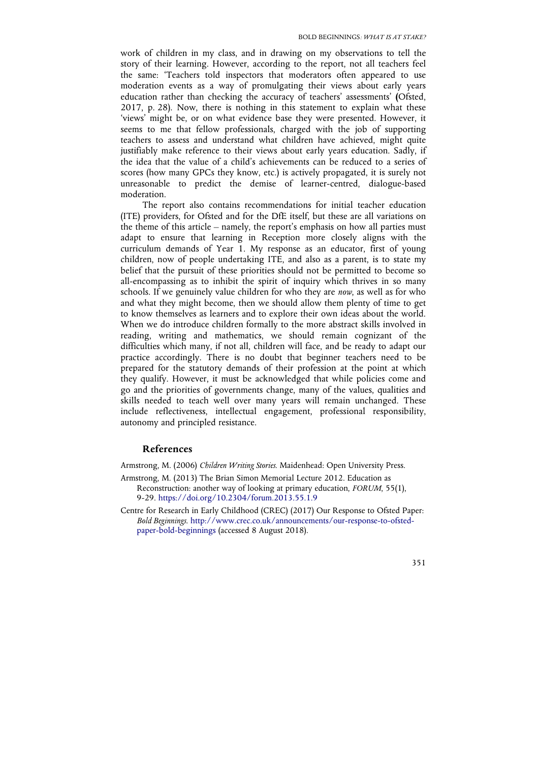work of children in my class, and in drawing on my observations to tell the story of their learning. However, according to the report, not all teachers feel the same: 'Teachers told inspectors that moderators often appeared to use moderation events as a way of promulgating their views about early years education rather than checking the accuracy of teachers' assessments' **(**Ofsted, 2017, p. 28). Now, there is nothing in this statement to explain what these 'views' might be, or on what evidence base they were presented. However, it seems to me that fellow professionals, charged with the job of supporting teachers to assess and understand what children have achieved, might quite justifiably make reference to their views about early years education. Sadly, if the idea that the value of a child's achievements can be reduced to a series of scores (how many GPCs they know, etc.) is actively propagated, it is surely not unreasonable to predict the demise of learner-centred, dialogue-based moderation.

The report also contains recommendations for initial teacher education (ITE) providers, for Ofsted and for the DfE itself, but these are all variations on the theme of this article – namely, the report's emphasis on how all parties must adapt to ensure that learning in Reception more closely aligns with the curriculum demands of Year 1. My response as an educator, first of young children, now of people undertaking ITE, and also as a parent, is to state my belief that the pursuit of these priorities should not be permitted to become so all-encompassing as to inhibit the spirit of inquiry which thrives in so many schools. If we genuinely value children for who they are *now*, as well as for who and what they might become, then we should allow them plenty of time to get to know themselves as learners and to explore their own ideas about the world. When we do introduce children formally to the more abstract skills involved in reading, writing and mathematics, we should remain cognizant of the difficulties which many, if not all, children will face, and be ready to adapt our practice accordingly. There is no doubt that beginner teachers need to be prepared for the statutory demands of their profession at the point at which they qualify. However, it must be acknowledged that while policies come and go and the priorities of governments change, many of the values, qualities and skills needed to teach well over many years will remain unchanged. These include reflectiveness, intellectual engagement, professional responsibility, autonomy and principled resistance.

#### **References**

Armstrong, M. (2006) *Children Writing Stories*. Maidenhead: Open University Press.

- Armstrong, M. (2013) The Brian Simon Memorial Lecture 2012. Education as Reconstruction: another way of looking at primary education, *FORUM*, 55(1), 9-29. https://doi.org/10.2304/forum.2013.55.1.9
- Centre for Research in Early Childhood (CREC) (2017) Our Response to Ofsted Paper: *Bold Beginnings*. http://www.crec.co.uk/announcements/our-response-to-ofstedpaper-bold-beginnings (accessed 8 August 2018).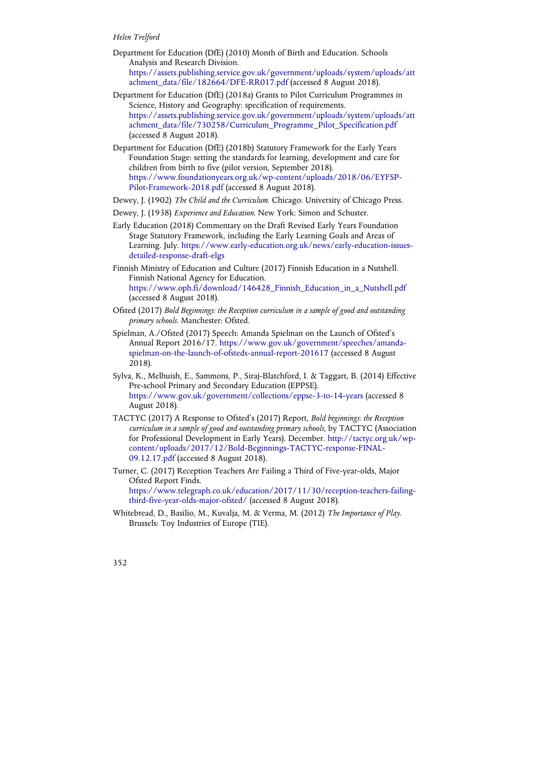#### *Helen Trelford*

- Department for Education (DfE) (2010) Month of Birth and Education. Schools Analysis and Research Division. https://assets.publishing.service.gov.uk/government/uploads/system/uploads/att achment\_data/file/182664/DFE-RR017.pdf (accessed 8 August 2018).
- Department for Education (DfE) (2018a) Grants to Pilot Curriculum Programmes in Science, History and Geography: specification of requirements. https://assets.publishing.service.gov.uk/government/uploads/system/uploads/att achment\_data/file/730258/Curriculum\_Programme\_Pilot\_Specification.pdf (accessed 8 August 2018).
- Department for Education (DfE) (2018b) Statutory Framework for the Early Years Foundation Stage: setting the standards for learning, development and care for children from birth to five (pilot version, September 2018). https://www.foundationyears.org.uk/wp-content/uploads/2018/06/EYFSP-Pilot-Framework-2018.pdf (accessed 8 August 2018).
- Dewey, J. (1902) *The Child and the Curriculum*. Chicago: University of Chicago Press.
- Dewey, J. (1938) *Experience and Education*. New York: Simon and Schuster.
- Early Education (2018) Commentary on the Draft Revised Early Years Foundation Stage Statutory Framework, including the Early Learning Goals and Areas of Learning. July. https://www.early-education.org.uk/news/early-education-issuesdetailed-response-draft-elgs
- Finnish Ministry of Education and Culture (2017) Finnish Education in a Nutshell. Finnish National Agency for Education. https://www.oph.fi/download/146428\_Finnish\_Education\_in\_a\_Nutshell.pdf (accessed 8 August 2018).
- Ofsted (2017) *Bold Beginnings: the Reception curriculum in a sample of good and outstanding primary schools*. Manchester: Ofsted.
- Spielman, A./Ofsted (2017) Speech: Amanda Spielman on the Launch of Ofsted's Annual Report 2016/17. https://www.gov.uk/government/speeches/amandaspielman-on-the-launch-of-ofsteds-annual-report-201617 (accessed 8 August 2018).
- Sylva, K., Melhuish, E., Sammons, P., Siraj-Blatchford, I. & Taggart, B. (2014) Effective Pre-school Primary and Secondary Education (EPPSE). https://www.gov.uk/government/collections/eppse-3-to-14-years (accessed 8 August 2018).
- TACTYC (2017) A Response to Ofsted's (2017) Report, *Bold beginnings: the Reception curriculum in a sample of good and outstanding primary schools*, by TACTYC (Association for Professional Development in Early Years). December. http://tactyc.org.uk/wpcontent/uploads/2017/12/Bold-Beginnings-TACTYC-response-FINAL-09.12.17.pdf (accessed 8 August 2018).
- Turner, C. (2017) Reception Teachers Are Failing a Third of Five-year-olds, Major Ofsted Report Finds. https://www.telegraph.co.uk/education/2017/11/30/reception-teachers-failingthird-five-year-olds-major-ofsted/ (accessed 8 August 2018).
- Whitebread, D., Basilio, M., Kuvalja, M. & Verma, M. (2012) *The Importance of Play*. Brussels: Toy Industries of Europe (TIE).